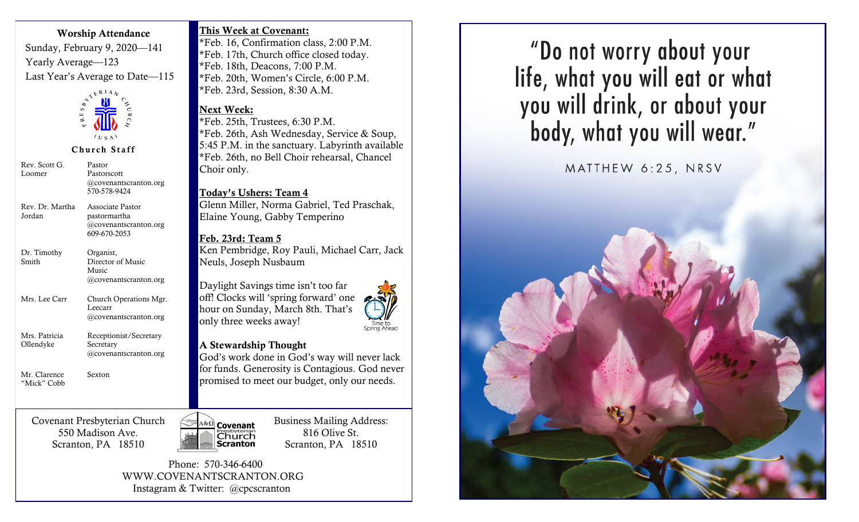#### Worship Attendance

Sunday, February 9, 2020—141 Yearly Average—123 Last Year's Average to Date—115



Church Staff

Rev. Scott G. Loomer Pastor Pastorscott @covenantscranton.org 570-578-9424 Rev. Dr. Martha Jordan Associate Pastor pastormartha @covenantscranton.org 609-670-2053 Dr. Timothy Smith Organist, Director of Music Music @covenantscranton.org Mrs. Lee Carr Church Operations Mgr. Leecarr @covenantscranton.org Mrs. Patricia Ollendyke Receptionist/Secretary Secretary @covenantscranton.org Mr. Clarence "Mick" Cobb Sexton

Covenant Presbyterian Church 550 Madison Ave. Scranton, PA 18510



\*Feb. 16, Confirmation class, 2:00 P.M. \*Feb. 17th, Church office closed today. \*Feb. 18th, Deacons, 7:00 P.M. \*Feb. 20th, Women's Circle, 6:00 P.M. \*Feb. 23rd, Session, 8:30 A.M.

### Next Week:

\*Feb. 25th, Trustees, 6:30 P.M. \*Feb. 26th, Ash Wednesday, Service & Soup, 5:45 P.M. in the sanctuary. Labyrinth available \*Feb. 26th, no Bell Choir rehearsal, Chancel Choir only.

Today's Ushers: Team 4 Glenn Miller, Norma Gabriel, Ted Praschak,

Elaine Young, Gabby Temperino

## Feb. 23rd: Team 5

Ken Pembridge, Roy Pauli, Michael Carr, Jack Neuls, Joseph Nusbaum

Daylight Savings time isn't too far off! Clocks will 'spring forward' one hour on Sunday, March 8th. That's only three weeks away! Time to<br>Spring Ahead



God's work done in God's way will never lack for funds. Generosity is Contagious. God never promised to meet our budget, only our needs.



Business Mailing Address: 816 Olive St. Scranton, PA 18510

 Phone: 570-346-6400 WWW.COVENANTSCRANTON.ORG Instagram & Twitter: @cpcscranton

"Do not worry about your life, what you will eat or what you will drink, or about your<br>body, what you will wear."

MATTHEW 6:25, NRSV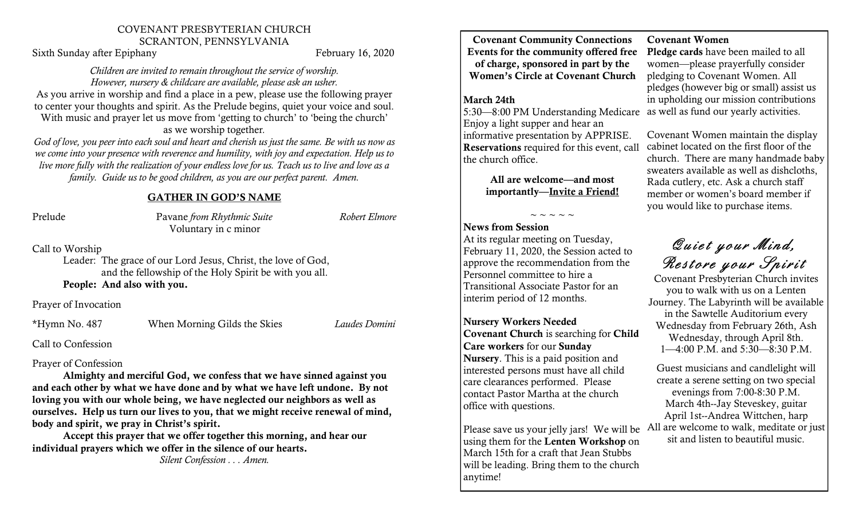### COVENANT PRESBYTERIAN CHURCH SCRANTON, PENNSYLVANIA

Sixth Sunday after Epiphany February 16, 2020

#### *Children are invited to remain throughout the service of worship. However, nursery & childcare are available, please ask an usher.*

As you arrive in worship and find a place in a pew, please use the following prayer to center your thoughts and spirit. As the Prelude begins, quiet your voice and soul. With music and prayer let us move from 'getting to church' to 'being the church'

as we worship together*.*

*God of love, you peer into each soul and heart and cherish us just the same. Be with us now as we come into your presence with reverence and humility, with joy and expectation. Help us to live more fully with the realization of your endless love for us. Teach us to live and love as a family. Guide us to be good children, as you are our perfect parent. Amen.* 

### GATHER IN GOD'S NAME

Prelude Pavane *from Rhythmic Suite Robert Elmore* Voluntary in c minor

Call to Worship

Leader: The grace of our Lord Jesus, Christ, the love of God, and the fellowship of the Holy Spirit be with you all. People: And also with you.

Prayer of Invocation

\*Hymn No. 487 When Morning Gilds the Skies *Laudes Domini*

Call to Confession

### Prayer of Confession

Almighty and merciful God, we confess that we have sinned against you and each other by what we have done and by what we have left undone. By not loving you with our whole being, we have neglected our neighbors as well as ourselves. Help us turn our lives to you, that we might receive renewal of mind, body and spirit, we pray in Christ's spirit.

Accept this prayer that we offer together this morning, and hear our individual prayers which we offer in the silence of our hearts.

*Silent Confession . . . Amen.*

Covenant Community Connections Events for the community offered free Pledge cards have been mailed to all of charge, sponsored in part by the Women's Circle at Covenant Church

### March 24th

5:30—8:00 PM Understanding Medicare Enjoy a light supper and hear an informative presentation by APPRISE. Reservations required for this event, call the church office.

> All are welcome—and most importantly—Invite a Friend!

> > $\sim$  ~ ~ ~ ~

### News from Session

At its regular meeting on Tuesday, February 11, 2020, the Session acted to approve the recommendation from the Personnel committee to hire a Transitional Associate Pastor for an interim period of 12 months.

Nursery Workers Needed Covenant Church is searching for Child Care workers for our Sunday Nursery. This is a paid position and interested persons must have all child care clearances performed. Please contact Pastor Martha at the church office with questions.

Please save us your jelly jars! We will be All are welcome to walk, meditate or just using them for the Lenten Workshop on March 15th for a craft that Jean Stubbs will be leading. Bring them to the church anytime!

### Covenant Women

women—please prayerfully consider pledging to Covenant Women. All pledges (however big or small) assist us in upholding our mission contributions as well as fund our yearly activities.

Covenant Women maintain the display cabinet located on the first floor of the church. There are many handmade baby sweaters available as well as dishcloths, Rada cutlery, etc. Ask a church staff member or women's board member if you would like to purchase items.

Quiet your Mind,

Restore your Spirit<br>Covenant Presbyterian Church invites you to walk with us on a Lenten Journey. The Labyrinth will be available in the Sawtelle Auditorium every Wednesday from February 26th, Ash Wednesday, through April 8th. 1—4:00 P.M. and 5:30—8:30 P.M.

Guest musicians and candlelight will create a serene setting on two special evenings from 7:00-8:30 P.M. March 4th--Jay Steveskey, guitar April 1st--Andrea Wittchen, harp sit and listen to beautiful music.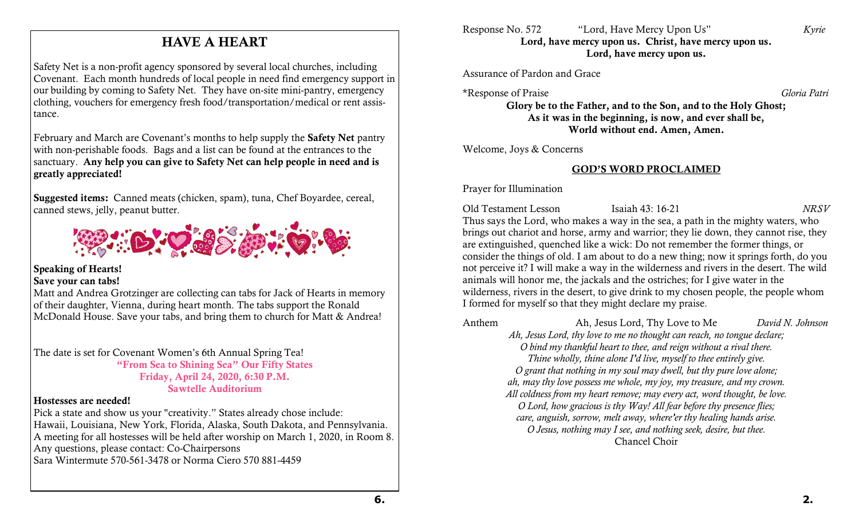### HAVE A HEART

Safety Net is a non-profit agency sponsored by several local churches, including Covenant. Each month hundreds of local people in need find emergency support in our building by coming to Safety Net. They have on-site mini-pantry, emergency clothing, vouchers for emergency fresh food/transportation/medical or rent assistance.

February and March are Covenant's months to help supply the Safety Net pantry with non-perishable foods. Bags and a list can be found at the entrances to the sanctuary. Any help you can give to Safety Net can help people in need and is greatly appreciated!

Suggested items: Canned meats (chicken, spam), tuna, Chef Boyardee, cereal, canned stews, jelly, peanut butter.



### Speaking of Hearts!

### Save your can tabs!

Matt and Andrea Grotzinger are collecting can tabs for Jack of Hearts in memory of their daughter, Vienna, during heart month. The tabs support the Ronald McDonald House. Save your tabs, and bring them to church for Matt & Andrea!

The date is set for Covenant Women's 6th Annual Spring Tea! "From Sea to Shining Sea" Our Fifty States Friday, April 24, 2020, 6:30 P.M. Sawtelle Auditorium

### Hostesses are needed!

Pick a state and show us your "creativity." States already chose include: Hawaii, Louisiana, New York, Florida, Alaska, South Dakota, and Pennsylvania. A meeting for all hostesses will be held after worship on March 1, 2020, in Room 8. Any questions, please contact: Co-Chairpersons Sara Wintermute 570-561-3478 or Norma Ciero 570 881-4459

Assurance of Pardon and Grace

\*Response of Praise *Gloria Patri*

Glory be to the Father, and to the Son, and to the Holy Ghost; As it was in the beginning, is now, and ever shall be, World without end. Amen, Amen.

Welcome, Joys & Concerns

### GOD'S WORD PROCLAIMED

Prayer for Illumination

Old Testament Lesson Isaiah 43: 16-21 *NRSV* Thus says the Lord, who makes a way in the sea, a path in the mighty waters, who brings out chariot and horse, army and warrior; they lie down, they cannot rise, they are extinguished, quenched like a wick: Do not remember the former things, or consider the things of old. I am about to do a new thing; now it springs forth, do you not perceive it? I will make a way in the wilderness and rivers in the desert. The wild animals will honor me, the jackals and the ostriches; for I give water in the wilderness, rivers in the desert, to give drink to my chosen people, the people whom I formed for myself so that they might declare my praise.

Anthem Ah, Jesus Lord, Thy Love to Me *David N. Johnson Ah, Jesus Lord, thy love to me no thought can reach, no tongue declare; O bind my thankful heart to thee, and reign without a rival there. Thine wholly, thine alone I'd live, myself to thee entirely give. O grant that nothing in my soul may dwell, but thy pure love alone; ah, may thy love possess me whole, my joy, my treasure, and my crown. All coldness from my heart remove; may every act, word thought, be love. O Lord, how gracious is thy Way! All fear before thy presence flies; care, anguish, sorrow, melt away, where'er thy healing hands arise. O Jesus, nothing may I see, and nothing seek, desire, but thee.* Chancel Choir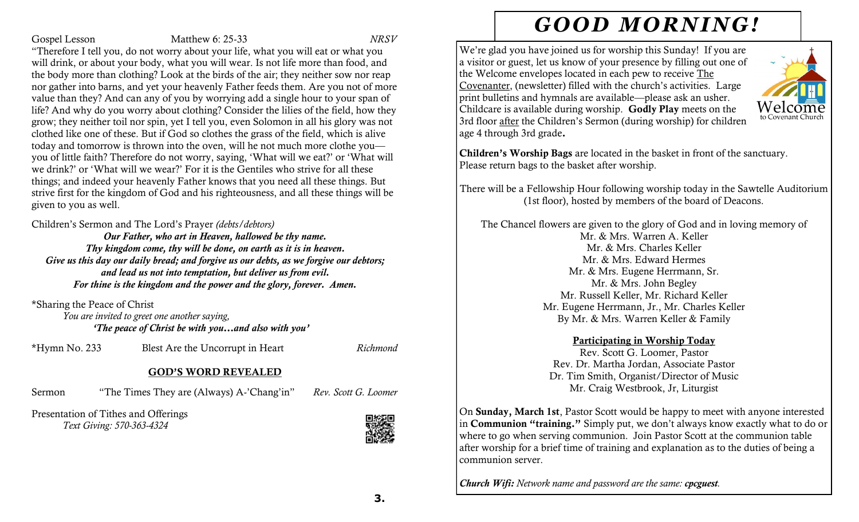### Gospel Lesson Matthew 6: 25-33 *NRSV*

"Therefore I tell you, do not worry about your life, what you will eat or what you will drink, or about your body, what you will wear. Is not life more than food, and the body more than clothing? Look at the birds of the air; they neither sow nor reap nor gather into barns, and yet your heavenly Father feeds them. Are you not of more value than they? And can any of you by worrying add a single hour to your span of life? And why do you worry about clothing? Consider the lilies of the field, how they grow; they neither toil nor spin, yet I tell you, even Solomon in all his glory was not clothed like one of these. But if God so clothes the grass of the field, which is alive today and tomorrow is thrown into the oven, will he not much more clothe you you of little faith? Therefore do not worry, saying, 'What will we eat?' or 'What will we drink?' or 'What will we wear?' For it is the Gentiles who strive for all these things; and indeed your heavenly Father knows that you need all these things. But strive first for the kingdom of God and his righteousness, and all these things will be given to you as well.

Children's Sermon and The Lord's Prayer *(debts/debtors)* 

*Our Father, who art in Heaven, hallowed be thy name. Thy kingdom come, thy will be done, on earth as it is in heaven. Give us this day our daily bread; and forgive us our debts, as we forgive our debtors; and lead us not into temptation, but deliver us from evil. For thine is the kingdom and the power and the glory, forever. Amen.*

\*Sharing the Peace of Christ

*You are invited to greet one another saying, 'The peace of Christ be with you…and also with you'*

\*Hymn No. 233 Blest Are the Uncorrupt in Heart *Richmond*

### GOD'S WORD REVEALED

Sermon "The Times They are (Always) A-'Chang'in" *Rev. Scott G. Loomer*

Presentation of Tithes and Offerings *Text Giving: 570-363-4324* 



# *GOOD MORNING!*

We're glad you have joined us for worship this Sunday! If you are a visitor or guest, let us know of your presence by filling out one of the Welcome envelopes located in each pew to receive The Covenanter, (newsletter) filled with the church's activities. Large print bulletins and hymnals are available—please ask an usher. Childcare is available during worship. Godly Play meets on the to Covenant Churc 3rd floor after the Children's Sermon (during worship) for children age 4 through 3rd grade.



There will be a Fellowship Hour following worship today in the Sawtelle Auditorium (1st floor), hosted by members of the board of Deacons.

The Chancel flowers are given to the glory of God and in loving memory of Mr. & Mrs. Warren A. Keller Mr. & Mrs. Charles Keller Mr. & Mrs. Edward Hermes Mr. & Mrs. Eugene Herrmann, Sr. Mr. & Mrs. John Begley Mr. Russell Keller, Mr. Richard Keller Mr. Eugene Herrmann, Jr., Mr. Charles Keller By Mr. & Mrs. Warren Keller & Family

### Participating in Worship Today

Rev. Scott G. Loomer, Pastor Rev. Dr. Martha Jordan, Associate Pastor Dr. Tim Smith, Organist/Director of Music Mr. Craig Westbrook, Jr, Liturgist

On Sunday, March 1st, Pastor Scott would be happy to meet with anyone interested in Communion "training." Simply put, we don't always know exactly what to do or where to go when serving communion. Join Pastor Scott at the communion table after worship for a brief time of training and explanation as to the duties of being a communion server.

*Church Wifi: Network name and password are the same: cpcguest.*